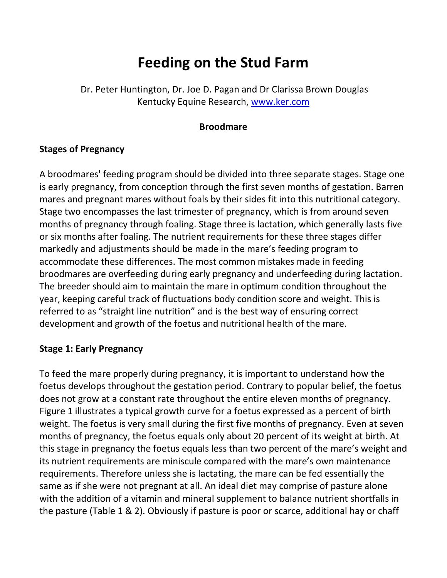# **Feeding on the Stud Farm**

Dr. Peter Huntington, Dr. Joe D. Pagan and Dr Clarissa Brown Douglas Kentucky Equine Research, [www.ker.com](http://www.ker.com/)

#### **Broodmare**

#### **Stages of Pregnancy**

A broodmares' feeding program should be divided into three separate stages. Stage one is early pregnancy, from conception through the first seven months of gestation. Barren mares and pregnant mares without foals by their sides fit into this nutritional category. Stage two encompasses the last trimester of pregnancy, which is from around seven months of pregnancy through foaling. Stage three is lactation, which generally lasts five or six months after foaling. The nutrient requirements for these three stages differ markedly and adjustments should be made in the mare's feeding program to accommodate these differences. The most common mistakes made in feeding broodmares are overfeeding during early pregnancy and underfeeding during lactation. The breeder should aim to maintain the mare in optimum condition throughout the year, keeping careful track of fluctuations body condition score and weight. This is referred to as "straight line nutrition" and is the best way of ensuring correct development and growth of the foetus and nutritional health of the mare.

#### **Stage 1: Early Pregnancy**

To feed the mare properly during pregnancy, it is important to understand how the foetus develops throughout the gestation period. Contrary to popular belief, the foetus does not grow at a constant rate throughout the entire eleven months of pregnancy. Figure 1 illustrates a typical growth curve for a foetus expressed as a percent of birth weight. The foetus is very small during the first five months of pregnancy. Even at seven months of pregnancy, the foetus equals only about 20 percent of its weight at birth. At this stage in pregnancy the foetus equals less than two percent of the mare's weight and its nutrient requirements are miniscule compared with the mare's own maintenance requirements. Therefore unless she is lactating, the mare can be fed essentially the same as if she were not pregnant at all. An ideal diet may comprise of pasture alone with the addition of a vitamin and mineral supplement to balance nutrient shortfalls in the pasture (Table 1 & 2). Obviously if pasture is poor or scarce, additional hay or chaff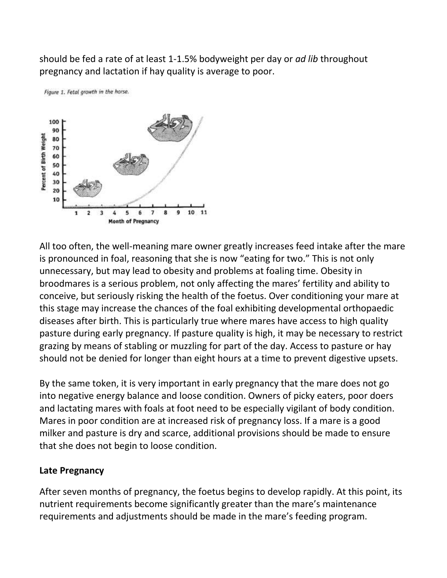should be fed a rate of at least 1-1.5% bodyweight per day or *ad lib* throughout pregnancy and lactation if hay quality is average to poor.



Figure 1. Fetal growth in the horse.

All too often, the well-meaning mare owner greatly increases feed intake after the mare is pronounced in foal, reasoning that she is now "eating for two." This is not only unnecessary, but may lead to obesity and problems at foaling time. Obesity in broodmares is a serious problem, not only affecting the mares' fertility and ability to conceive, but seriously risking the health of the foetus. Over conditioning your mare at this stage may increase the chances of the foal exhibiting developmental orthopaedic diseases after birth. This is particularly true where mares have access to high quality pasture during early pregnancy. If pasture quality is high, it may be necessary to restrict grazing by means of stabling or muzzling for part of the day. Access to pasture or hay should not be denied for longer than eight hours at a time to prevent digestive upsets.

By the same token, it is very important in early pregnancy that the mare does not go into negative energy balance and loose condition. Owners of picky eaters, poor doers and lactating mares with foals at foot need to be especially vigilant of body condition. Mares in poor condition are at increased risk of pregnancy loss. If a mare is a good milker and pasture is dry and scarce, additional provisions should be made to ensure that she does not begin to loose condition.

# **Late Pregnancy**

After seven months of pregnancy, the foetus begins to develop rapidly. At this point, its nutrient requirements become significantly greater than the mare's maintenance requirements and adjustments should be made in the mare's feeding program.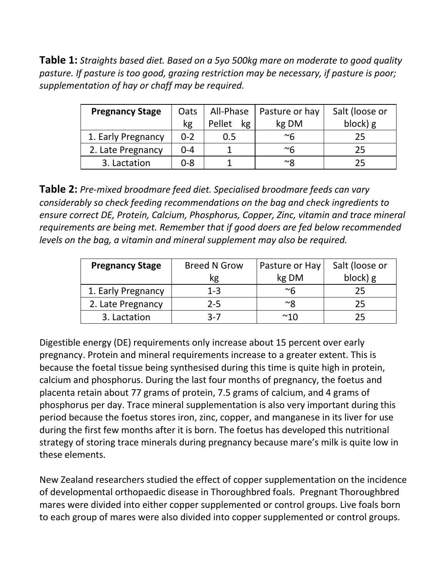**Table 1:** *Straights based diet. Based on a 5yo 500kg mare on moderate to good quality pasture. If pasture is too good, grazing restriction may be necessary, if pasture is poor; supplementation of hay or chaff may be required.*

| <b>Pregnancy Stage</b> | Oats    | All-Phase    | Pasture or hay | Salt (loose or |
|------------------------|---------|--------------|----------------|----------------|
|                        | kg      | Pellet<br>kg | kg DM          | block) g       |
| 1. Early Pregnancy     | $0 - 2$ | 0.5          | $~^\sim$ 6     | 25             |
| 2. Late Pregnancy      | $0 - 4$ |              | $~^\sim$ 6     | 25             |
| 3. Lactation           | 0-8     |              | ∼ହ             | 25             |

**Table 2:** *Pre-mixed broodmare feed diet. Specialised broodmare feeds can vary considerably so check feeding recommendations on the bag and check ingredients to ensure correct DE, Protein, Calcium, Phosphorus, Copper, Zinc, vitamin and trace mineral requirements are being met. Remember that if good doers are fed below recommended levels on the bag, a vitamin and mineral supplement may also be required.*

| <b>Pregnancy Stage</b> | <b>Breed N Grow</b> | Pasture or Hay | Salt (loose or |
|------------------------|---------------------|----------------|----------------|
|                        | кg                  | kg DM          | block) g       |
| 1. Early Pregnancy     | $1 - 3$             | $~\sim$ հ      | 25             |
| 2. Late Pregnancy      | $2 - 5$             | $\sim$ Ջ       | 25             |
| 3. Lactation           | $3 - 7$             | ~1∩            | 25             |

Digestible energy (DE) requirements only increase about 15 percent over early pregnancy. Protein and mineral requirements increase to a greater extent. This is because the foetal tissue being synthesised during this time is quite high in protein, calcium and phosphorus. During the last four months of pregnancy, the foetus and placenta retain about 77 grams of protein, 7.5 grams of calcium, and 4 grams of phosphorus per day. Trace mineral supplementation is also very important during this period because the foetus stores iron, zinc, copper, and manganese in its liver for use during the first few months after it is born. The foetus has developed this nutritional strategy of storing trace minerals during pregnancy because mare's milk is quite low in these elements.

New Zealand researchers studied the effect of copper supplementation on the incidence of developmental orthopaedic disease in Thoroughbred foals. Pregnant Thoroughbred mares were divided into either copper supplemented or control groups. Live foals born to each group of mares were also divided into copper supplemented or control groups.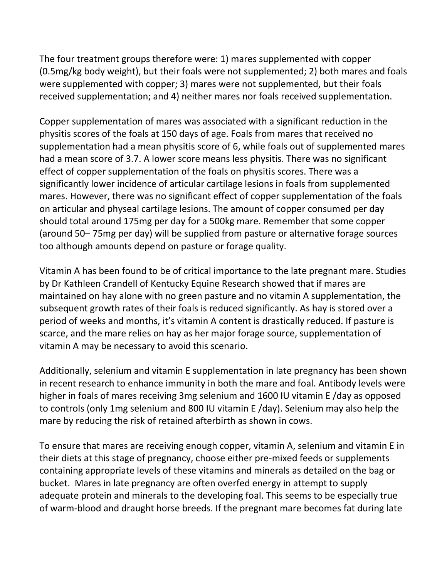The four treatment groups therefore were: 1) mares supplemented with copper (0.5mg/kg body weight), but their foals were not supplemented; 2) both mares and foals were supplemented with copper; 3) mares were not supplemented, but their foals received supplementation; and 4) neither mares nor foals received supplementation.

Copper supplementation of mares was associated with a significant reduction in the physitis scores of the foals at 150 days of age. Foals from mares that received no supplementation had a mean physitis score of 6, while foals out of supplemented mares had a mean score of 3.7. A lower score means less physitis. There was no significant effect of copper supplementation of the foals on physitis scores. There was a significantly lower incidence of articular cartilage lesions in foals from supplemented mares. However, there was no significant effect of copper supplementation of the foals on articular and physeal cartilage lesions. The amount of copper consumed per day should total around 175mg per day for a 500kg mare. Remember that some copper (around 50– 75mg per day) will be supplied from pasture or alternative forage sources too although amounts depend on pasture or forage quality.

Vitamin A has been found to be of critical importance to the late pregnant mare. Studies by Dr Kathleen Crandell of Kentucky Equine Research showed that if mares are maintained on hay alone with no green pasture and no vitamin A supplementation, the subsequent growth rates of their foals is reduced significantly. As hay is stored over a period of weeks and months, it's vitamin A content is drastically reduced. If pasture is scarce, and the mare relies on hay as her major forage source, supplementation of vitamin A may be necessary to avoid this scenario.

Additionally, selenium and vitamin E supplementation in late pregnancy has been shown in recent research to enhance immunity in both the mare and foal. Antibody levels were higher in foals of mares receiving 3mg selenium and 1600 IU vitamin E /day as opposed to controls (only 1mg selenium and 800 IU vitamin E /day). Selenium may also help the mare by reducing the risk of retained afterbirth as shown in cows.

To ensure that mares are receiving enough copper, vitamin A, selenium and vitamin E in their diets at this stage of pregnancy, choose either pre-mixed feeds or supplements containing appropriate levels of these vitamins and minerals as detailed on the bag or bucket. Mares in late pregnancy are often overfed energy in attempt to supply adequate protein and minerals to the developing foal. This seems to be especially true of warm-blood and draught horse breeds. If the pregnant mare becomes fat during late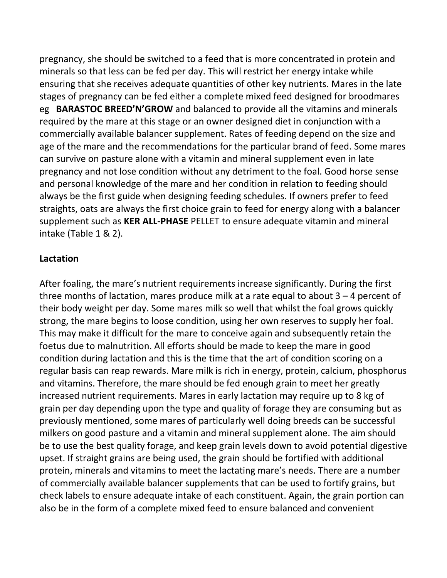pregnancy, she should be switched to a feed that is more concentrated in protein and minerals so that less can be fed per day. This will restrict her energy intake while ensuring that she receives adequate quantities of other key nutrients. Mares in the late stages of pregnancy can be fed either a complete mixed feed designed for broodmares eg **BARASTOC BREED'N'GROW** and balanced to provide all the vitamins and minerals required by the mare at this stage or an owner designed diet in conjunction with a commercially available balancer supplement. Rates of feeding depend on the size and age of the mare and the recommendations for the particular brand of feed. Some mares can survive on pasture alone with a vitamin and mineral supplement even in late pregnancy and not lose condition without any detriment to the foal. Good horse sense and personal knowledge of the mare and her condition in relation to feeding should always be the first guide when designing feeding schedules. If owners prefer to feed straights, oats are always the first choice grain to feed for energy along with a balancer supplement such as **KER ALL-PHASE** PELLET to ensure adequate vitamin and mineral intake (Table 1 & 2).

## **Lactation**

After foaling, the mare's nutrient requirements increase significantly. During the first three months of lactation, mares produce milk at a rate equal to about 3 – 4 percent of their body weight per day. Some mares milk so well that whilst the foal grows quickly strong, the mare begins to loose condition, using her own reserves to supply her foal. This may make it difficult for the mare to conceive again and subsequently retain the foetus due to malnutrition. All efforts should be made to keep the mare in good condition during lactation and this is the time that the art of condition scoring on a regular basis can reap rewards. Mare milk is rich in energy, protein, calcium, phosphorus and vitamins. Therefore, the mare should be fed enough grain to meet her greatly increased nutrient requirements. Mares in early lactation may require up to 8 kg of grain per day depending upon the type and quality of forage they are consuming but as previously mentioned, some mares of particularly well doing breeds can be successful milkers on good pasture and a vitamin and mineral supplement alone. The aim should be to use the best quality forage, and keep grain levels down to avoid potential digestive upset. If straight grains are being used, the grain should be fortified with additional protein, minerals and vitamins to meet the lactating mare's needs. There are a number of commercially available balancer supplements that can be used to fortify grains, but check labels to ensure adequate intake of each constituent. Again, the grain portion can also be in the form of a complete mixed feed to ensure balanced and convenient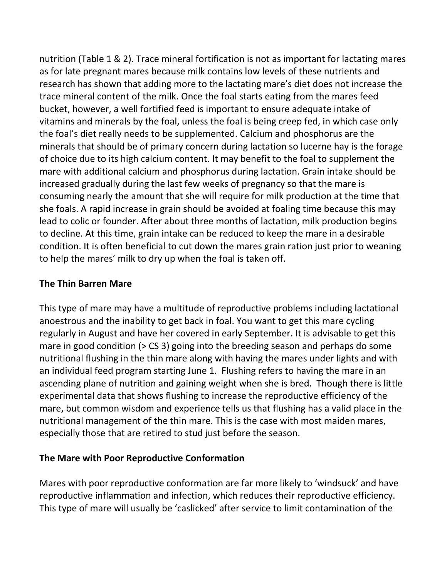nutrition (Table 1 & 2). Trace mineral fortification is not as important for lactating mares as for late pregnant mares because milk contains low levels of these nutrients and research has shown that adding more to the lactating mare's diet does not increase the trace mineral content of the milk. Once the foal starts eating from the mares feed bucket, however, a well fortified feed is important to ensure adequate intake of vitamins and minerals by the foal, unless the foal is being creep fed, in which case only the foal's diet really needs to be supplemented. Calcium and phosphorus are the minerals that should be of primary concern during lactation so lucerne hay is the forage of choice due to its high calcium content. It may benefit to the foal to supplement the mare with additional calcium and phosphorus during lactation. Grain intake should be increased gradually during the last few weeks of pregnancy so that the mare is consuming nearly the amount that she will require for milk production at the time that she foals. A rapid increase in grain should be avoided at foaling time because this may lead to colic or founder. After about three months of lactation, milk production begins to decline. At this time, grain intake can be reduced to keep the mare in a desirable condition. It is often beneficial to cut down the mares grain ration just prior to weaning to help the mares' milk to dry up when the foal is taken off.

## **The Thin Barren Mare**

This type of mare may have a multitude of reproductive problems including lactational anoestrous and the inability to get back in foal. You want to get this mare cycling regularly in August and have her covered in early September. It is advisable to get this mare in good condition (> CS 3) going into the breeding season and perhaps do some nutritional flushing in the thin mare along with having the mares under lights and with an individual feed program starting June 1. Flushing refers to having the mare in an ascending plane of nutrition and gaining weight when she is bred. Though there is little experimental data that shows flushing to increase the reproductive efficiency of the mare, but common wisdom and experience tells us that flushing has a valid place in the nutritional management of the thin mare. This is the case with most maiden mares, especially those that are retired to stud just before the season.

# **The Mare with Poor Reproductive Conformation**

Mares with poor reproductive conformation are far more likely to 'windsuck' and have reproductive inflammation and infection, which reduces their reproductive efficiency. This type of mare will usually be 'caslicked' after service to limit contamination of the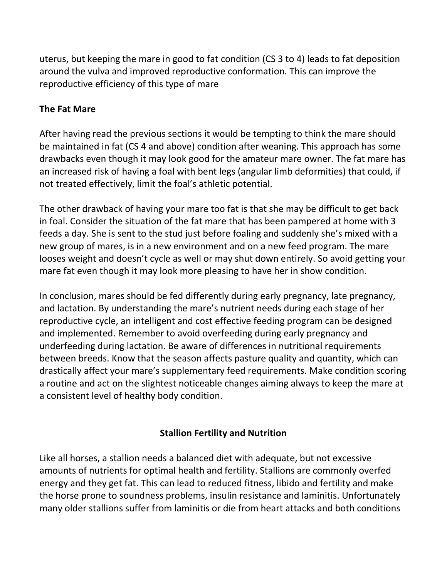uterus, but keeping the mare in good to fat condition (CS 3 to 4) leads to fat deposition around the vulva and improved reproductive conformation. This can improve the reproductive efficiency of this type of mare

# **The Fat Mare**

After having read the previous sections it would be tempting to think the mare should be maintained in fat (CS 4 and above) condition after weaning. This approach has some drawbacks even though it may look good for the amateur mare owner. The fat mare has an increased risk of having a foal with bent legs (angular limb deformities) that could, if not treated effectively, limit the foal's athletic potential.

The other drawback of having your mare too fat is that she may be difficult to get back in foal. Consider the situation of the fat mare that has been pampered at home with 3 feeds a day. She is sent to the stud just before foaling and suddenly she's mixed with a new group of mares, is in a new environment and on a new feed program. The mare looses weight and doesn't cycle as well or may shut down entirely. So avoid getting your mare fat even though it may look more pleasing to have her in show condition.

In conclusion, mares should be fed differently during early pregnancy, late pregnancy, and lactation. By understanding the mare's nutrient needs during each stage of her reproductive cycle, an intelligent and cost effective feeding program can be designed and implemented. Remember to avoid overfeeding during early pregnancy and underfeeding during lactation. Be aware of differences in nutritional requirements between breeds. Know that the season affects pasture quality and quantity, which can drastically affect your mare's supplementary feed requirements. Make condition scoring a routine and act on the slightest noticeable changes aiming always to keep the mare at a consistent level of healthy body condition.

# **Stallion Fertility and Nutrition**

Like all horses, a stallion needs a balanced diet with adequate, but not excessive amounts of nutrients for optimal health and fertility. Stallions are commonly overfed energy and they get fat. This can lead to reduced fitness, libido and fertility and make the horse prone to soundness problems, insulin resistance and laminitis. Unfortunately many older stallions suffer from laminitis or die from heart attacks and both conditions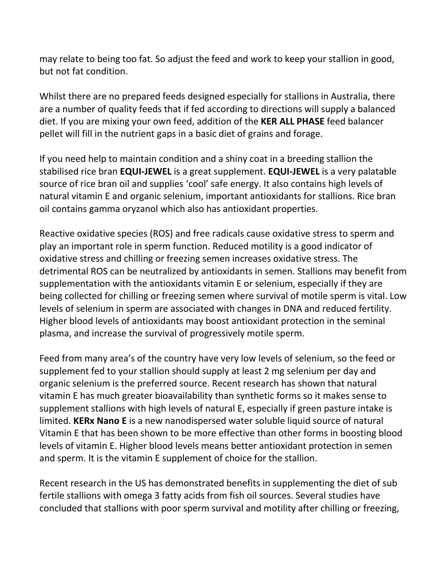may relate to being too fat. So adjust the feed and work to keep your stallion in good, but not fat condition.

Whilst there are no prepared feeds designed especially for stallions in Australia, there are a number of quality feeds that if fed according to directions will supply a balanced diet. If you are mixing your own feed, addition of the **KER ALL PHASE** feed balancer pellet will fill in the nutrient gaps in a basic diet of grains and forage.

If you need help to maintain condition and a shiny coat in a breeding stallion the stabilised rice bran **EQUI-JEWEL** is a great supplement. **EQUI-JEWEL** is a very palatable source of rice bran oil and supplies 'cool' safe energy. It also contains high levels of natural vitamin E and organic selenium, important antioxidants for stallions. Rice bran oil contains gamma oryzanol which also has antioxidant properties.

Reactive oxidative species (ROS) and free radicals cause oxidative stress to sperm and play an important role in sperm function. Reduced motility is a good indicator of oxidative stress and chilling or freezing semen increases oxidative stress. The detrimental ROS can be neutralized by antioxidants in semen. Stallions may benefit from supplementation with the antioxidants vitamin E or selenium, especially if they are being collected for chilling or freezing semen where survival of motile sperm is vital. Low levels of selenium in sperm are associated with changes in DNA and reduced fertility. Higher blood levels of antioxidants may boost antioxidant protection in the seminal plasma, and increase the survival of progressively motile sperm.

Feed from many area's of the country have very low levels of selenium, so the feed or supplement fed to your stallion should supply at least 2 mg selenium per day and organic selenium is the preferred source. Recent research has shown that natural vitamin E has much greater bioavailability than synthetic forms so it makes sense to supplement stallions with high levels of natural E, especially if green pasture intake is limited. **KERx Nano E** is a new nanodispersed water soluble liquid source of natural Vitamin E that has been shown to be more effective than other forms in boosting blood levels of vitamin E. Higher blood levels means better antioxidant protection in semen and sperm. It is the vitamin E supplement of choice for the stallion.

Recent research in the US has demonstrated benefits in supplementing the diet of sub fertile stallions with omega 3 fatty acids from fish oil sources. Several studies have concluded that stallions with poor sperm survival and motility after chilling or freezing,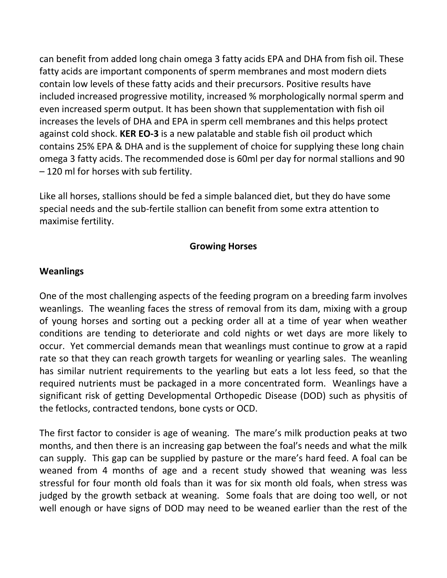can benefit from added long chain omega 3 fatty acids EPA and DHA from fish oil. These fatty acids are important components of sperm membranes and most modern diets contain low levels of these fatty acids and their precursors. Positive results have included increased progressive motility, increased % morphologically normal sperm and even increased sperm output. It has been shown that supplementation with fish oil increases the levels of DHA and EPA in sperm cell membranes and this helps protect against cold shock. **KER EO-3** is a new palatable and stable fish oil product which contains 25% EPA & DHA and is the supplement of choice for supplying these long chain omega 3 fatty acids. The recommended dose is 60ml per day for normal stallions and 90 – 120 ml for horses with sub fertility.

Like all horses, stallions should be fed a simple balanced diet, but they do have some special needs and the sub-fertile stallion can benefit from some extra attention to maximise fertility.

## **Growing Horses**

#### **Weanlings**

One of the most challenging aspects of the feeding program on a breeding farm involves weanlings. The weanling faces the stress of removal from its dam, mixing with a group of young horses and sorting out a pecking order all at a time of year when weather conditions are tending to deteriorate and cold nights or wet days are more likely to occur. Yet commercial demands mean that weanlings must continue to grow at a rapid rate so that they can reach growth targets for weanling or yearling sales. The weanling has similar nutrient requirements to the yearling but eats a lot less feed, so that the required nutrients must be packaged in a more concentrated form. Weanlings have a significant risk of getting Developmental Orthopedic Disease (DOD) such as physitis of the fetlocks, contracted tendons, bone cysts or OCD.

The first factor to consider is age of weaning. The mare's milk production peaks at two months, and then there is an increasing gap between the foal's needs and what the milk can supply. This gap can be supplied by pasture or the mare's hard feed. A foal can be weaned from 4 months of age and a recent study showed that weaning was less stressful for four month old foals than it was for six month old foals, when stress was judged by the growth setback at weaning. Some foals that are doing too well, or not well enough or have signs of DOD may need to be weaned earlier than the rest of the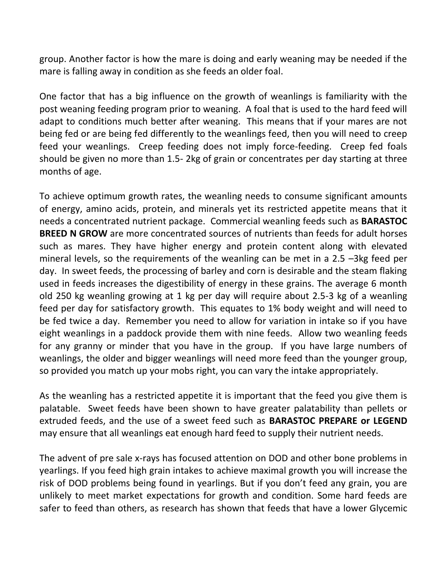group. Another factor is how the mare is doing and early weaning may be needed if the mare is falling away in condition as she feeds an older foal.

One factor that has a big influence on the growth of weanlings is familiarity with the post weaning feeding program prior to weaning. A foal that is used to the hard feed will adapt to conditions much better after weaning. This means that if your mares are not being fed or are being fed differently to the weanlings feed, then you will need to creep feed your weanlings. Creep feeding does not imply force-feeding. Creep fed foals should be given no more than 1.5- 2kg of grain or concentrates per day starting at three months of age.

To achieve optimum growth rates, the weanling needs to consume significant amounts of energy, amino acids, protein, and minerals yet its restricted appetite means that it needs a concentrated nutrient package. Commercial weanling feeds such as **BARASTOC BREED N GROW** are more concentrated sources of nutrients than feeds for adult horses such as mares. They have higher energy and protein content along with elevated mineral levels, so the requirements of the weanling can be met in a 2.5 –3kg feed per day. In sweet feeds, the processing of barley and corn is desirable and the steam flaking used in feeds increases the digestibility of energy in these grains. The average 6 month old 250 kg weanling growing at 1 kg per day will require about 2.5-3 kg of a weanling feed per day for satisfactory growth. This equates to 1% body weight and will need to be fed twice a day. Remember you need to allow for variation in intake so if you have eight weanlings in a paddock provide them with nine feeds. Allow two weanling feeds for any granny or minder that you have in the group. If you have large numbers of weanlings, the older and bigger weanlings will need more feed than the younger group, so provided you match up your mobs right, you can vary the intake appropriately.

As the weanling has a restricted appetite it is important that the feed you give them is palatable. Sweet feeds have been shown to have greater palatability than pellets or extruded feeds, and the use of a sweet feed such as **BARASTOC PREPARE or LEGEND** may ensure that all weanlings eat enough hard feed to supply their nutrient needs.

The advent of pre sale x-rays has focused attention on DOD and other bone problems in yearlings. If you feed high grain intakes to achieve maximal growth you will increase the risk of DOD problems being found in yearlings. But if you don't feed any grain, you are unlikely to meet market expectations for growth and condition. Some hard feeds are safer to feed than others, as research has shown that feeds that have a lower Glycemic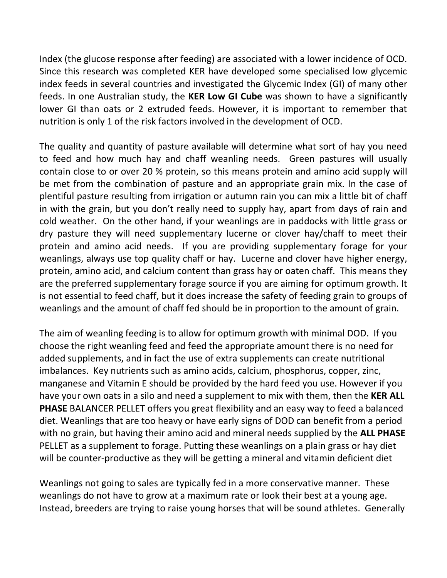Index (the glucose response after feeding) are associated with a lower incidence of OCD. Since this research was completed KER have developed some specialised low glycemic index feeds in several countries and investigated the Glycemic Index (GI) of many other feeds. In one Australian study, the **KER Low GI Cube** was shown to have a significantly lower GI than oats or 2 extruded feeds. However, it is important to remember that nutrition is only 1 of the risk factors involved in the development of OCD.

The quality and quantity of pasture available will determine what sort of hay you need to feed and how much hay and chaff weanling needs. Green pastures will usually contain close to or over 20 % protein, so this means protein and amino acid supply will be met from the combination of pasture and an appropriate grain mix. In the case of plentiful pasture resulting from irrigation or autumn rain you can mix a little bit of chaff in with the grain, but you don't really need to supply hay, apart from days of rain and cold weather. On the other hand, if your weanlings are in paddocks with little grass or dry pasture they will need supplementary lucerne or clover hay/chaff to meet their protein and amino acid needs. If you are providing supplementary forage for your weanlings, always use top quality chaff or hay. Lucerne and clover have higher energy, protein, amino acid, and calcium content than grass hay or oaten chaff. This means they are the preferred supplementary forage source if you are aiming for optimum growth. It is not essential to feed chaff, but it does increase the safety of feeding grain to groups of weanlings and the amount of chaff fed should be in proportion to the amount of grain.

The aim of weanling feeding is to allow for optimum growth with minimal DOD. If you choose the right weanling feed and feed the appropriate amount there is no need for added supplements, and in fact the use of extra supplements can create nutritional imbalances. Key nutrients such as amino acids, calcium, phosphorus, copper, zinc, manganese and Vitamin E should be provided by the hard feed you use. However if you have your own oats in a silo and need a supplement to mix with them, then the **KER ALL PHASE** BALANCER PELLET offers you great flexibility and an easy way to feed a balanced diet. Weanlings that are too heavy or have early signs of DOD can benefit from a period with no grain, but having their amino acid and mineral needs supplied by the **ALL PHASE**  PELLET as a supplement to forage. Putting these weanlings on a plain grass or hay diet will be counter-productive as they will be getting a mineral and vitamin deficient diet

Weanlings not going to sales are typically fed in a more conservative manner. These weanlings do not have to grow at a maximum rate or look their best at a young age. Instead, breeders are trying to raise young horses that will be sound athletes. Generally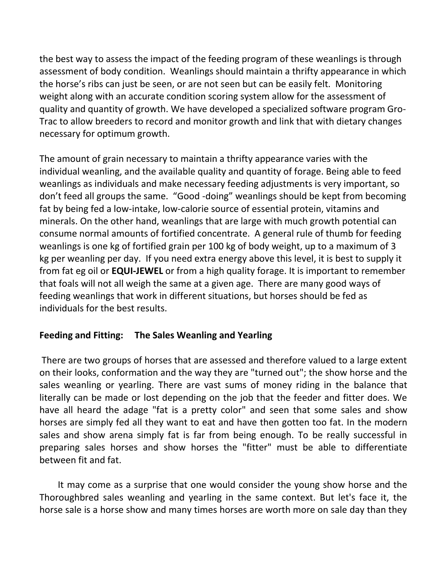the best way to assess the impact of the feeding program of these weanlings is through assessment of body condition. Weanlings should maintain a thrifty appearance in which the horse's ribs can just be seen, or are not seen but can be easily felt. Monitoring weight along with an accurate condition scoring system allow for the assessment of quality and quantity of growth. We have developed a specialized software program Gro-Trac to allow breeders to record and monitor growth and link that with dietary changes necessary for optimum growth.

The amount of grain necessary to maintain a thrifty appearance varies with the individual weanling, and the available quality and quantity of forage. Being able to feed weanlings as individuals and make necessary feeding adjustments is very important, so don't feed all groups the same. "Good -doing" weanlings should be kept from becoming fat by being fed a low-intake, low-calorie source of essential protein, vitamins and minerals. On the other hand, weanlings that are large with much growth potential can consume normal amounts of fortified concentrate. A general rule of thumb for feeding weanlings is one kg of fortified grain per 100 kg of body weight, up to a maximum of 3 kg per weanling per day. If you need extra energy above this level, it is best to supply it from fat eg oil or **EQUI-JEWEL** or from a high quality forage. It is important to remember that foals will not all weigh the same at a given age. There are many good ways of feeding weanlings that work in different situations, but horses should be fed as individuals for the best results.

## **Feeding and Fitting: The Sales Weanling and Yearling**

There are two groups of horses that are assessed and therefore valued to a large extent on their looks, conformation and the way they are "turned out"; the show horse and the sales weanling or yearling. There are vast sums of money riding in the balance that literally can be made or lost depending on the job that the feeder and fitter does. We have all heard the adage "fat is a pretty color" and seen that some sales and show horses are simply fed all they want to eat and have then gotten too fat. In the modern sales and show arena simply fat is far from being enough. To be really successful in preparing sales horses and show horses the "fitter" must be able to differentiate between fit and fat.

 It may come as a surprise that one would consider the young show horse and the Thoroughbred sales weanling and yearling in the same context. But let's face it, the horse sale is a horse show and many times horses are worth more on sale day than they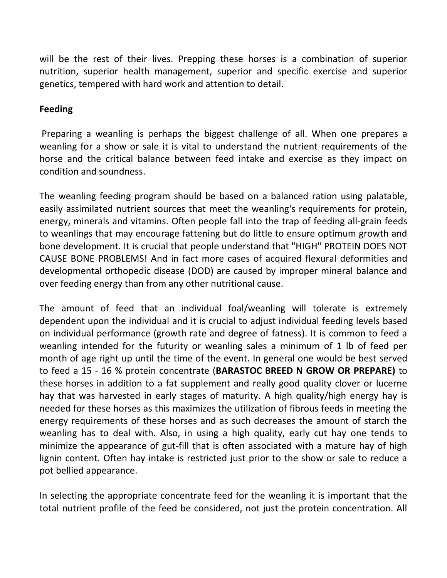will be the rest of their lives. Prepping these horses is a combination of superior nutrition, superior health management, superior and specific exercise and superior genetics, tempered with hard work and attention to detail.

## **Feeding**

Preparing a weanling is perhaps the biggest challenge of all. When one prepares a weanling for a show or sale it is vital to understand the nutrient requirements of the horse and the critical balance between feed intake and exercise as they impact on condition and soundness.

The weanling feeding program should be based on a balanced ration using palatable, easily assimilated nutrient sources that meet the weanling's requirements for protein, energy, minerals and vitamins. Often people fall into the trap of feeding all-grain feeds to weanlings that may encourage fattening but do little to ensure optimum growth and bone development. It is crucial that people understand that "HIGH" PROTEIN DOES NOT CAUSE BONE PROBLEMS! And in fact more cases of acquired flexural deformities and developmental orthopedic disease (DOD) are caused by improper mineral balance and over feeding energy than from any other nutritional cause.

The amount of feed that an individual foal/weanling will tolerate is extremely dependent upon the individual and it is crucial to adjust individual feeding levels based on individual performance (growth rate and degree of fatness). It is common to feed a weanling intended for the futurity or weanling sales a minimum of 1 lb of feed per month of age right up until the time of the event. In general one would be best served to feed a 15 - 16 % protein concentrate (**BARASTOC BREED N GROW OR PREPARE)** to these horses in addition to a fat supplement and really good quality clover or lucerne hay that was harvested in early stages of maturity. A high quality/high energy hay is needed for these horses as this maximizes the utilization of fibrous feeds in meeting the energy requirements of these horses and as such decreases the amount of starch the weanling has to deal with. Also, in using a high quality, early cut hay one tends to minimize the appearance of gut-fill that is often associated with a mature hay of high lignin content. Often hay intake is restricted just prior to the show or sale to reduce a pot bellied appearance.

In selecting the appropriate concentrate feed for the weanling it is important that the total nutrient profile of the feed be considered, not just the protein concentration. All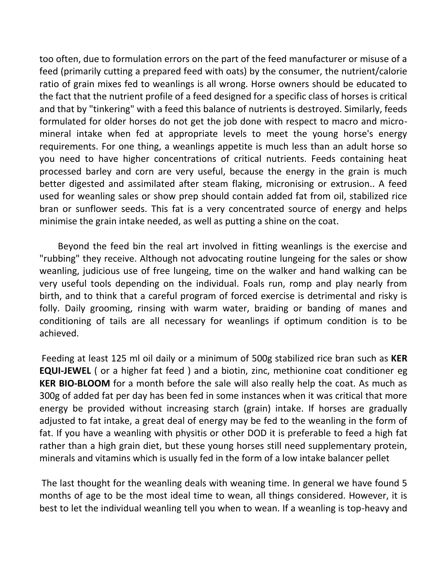too often, due to formulation errors on the part of the feed manufacturer or misuse of a feed (primarily cutting a prepared feed with oats) by the consumer, the nutrient/calorie ratio of grain mixes fed to weanlings is all wrong. Horse owners should be educated to the fact that the nutrient profile of a feed designed for a specific class of horses is critical and that by "tinkering" with a feed this balance of nutrients is destroyed. Similarly, feeds formulated for older horses do not get the job done with respect to macro and micromineral intake when fed at appropriate levels to meet the young horse's energy requirements. For one thing, a weanlings appetite is much less than an adult horse so you need to have higher concentrations of critical nutrients. Feeds containing heat processed barley and corn are very useful, because the energy in the grain is much better digested and assimilated after steam flaking, micronising or extrusion.. A feed used for weanling sales or show prep should contain added fat from oil, stabilized rice bran or sunflower seeds. This fat is a very concentrated source of energy and helps minimise the grain intake needed, as well as putting a shine on the coat.

 Beyond the feed bin the real art involved in fitting weanlings is the exercise and "rubbing" they receive. Although not advocating routine lungeing for the sales or show weanling, judicious use of free lungeing, time on the walker and hand walking can be very useful tools depending on the individual. Foals run, romp and play nearly from birth, and to think that a careful program of forced exercise is detrimental and risky is folly. Daily grooming, rinsing with warm water, braiding or banding of manes and conditioning of tails are all necessary for weanlings if optimum condition is to be achieved.

Feeding at least 125 ml oil daily or a minimum of 500g stabilized rice bran such as **KER EQUI-JEWEL** ( or a higher fat feed ) and a biotin, zinc, methionine coat conditioner eg **KER BIO-BLOOM** for a month before the sale will also really help the coat. As much as 300g of added fat per day has been fed in some instances when it was critical that more energy be provided without increasing starch (grain) intake. If horses are gradually adjusted to fat intake, a great deal of energy may be fed to the weanling in the form of fat. If you have a weanling with physitis or other DOD it is preferable to feed a high fat rather than a high grain diet, but these young horses still need supplementary protein, minerals and vitamins which is usually fed in the form of a low intake balancer pellet

The last thought for the weanling deals with weaning time. In general we have found 5 months of age to be the most ideal time to wean, all things considered. However, it is best to let the individual weanling tell you when to wean. If a weanling is top-heavy and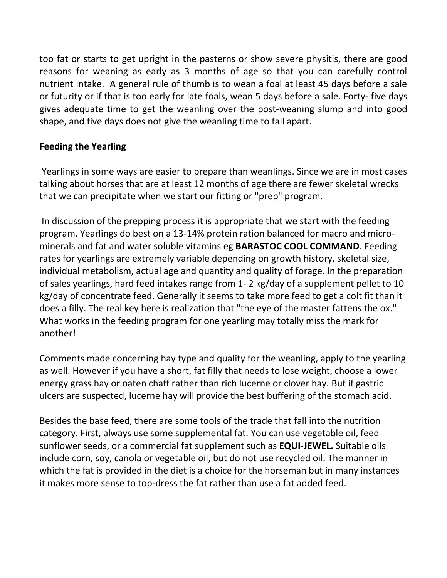too fat or starts to get upright in the pasterns or show severe physitis, there are good reasons for weaning as early as 3 months of age so that you can carefully control nutrient intake. A general rule of thumb is to wean a foal at least 45 days before a sale or futurity or if that is too early for late foals, wean 5 days before a sale. Forty- five days gives adequate time to get the weanling over the post-weaning slump and into good shape, and five days does not give the weanling time to fall apart.

## **Feeding the Yearling**

Yearlings in some ways are easier to prepare than weanlings. Since we are in most cases talking about horses that are at least 12 months of age there are fewer skeletal wrecks that we can precipitate when we start our fitting or "prep" program.

In discussion of the prepping process it is appropriate that we start with the feeding program. Yearlings do best on a 13-14% protein ration balanced for macro and microminerals and fat and water soluble vitamins eg **BARASTOC COOL COMMAND**. Feeding rates for yearlings are extremely variable depending on growth history, skeletal size, individual metabolism, actual age and quantity and quality of forage. In the preparation of sales yearlings, hard feed intakes range from 1- 2 kg/day of a supplement pellet to 10 kg/day of concentrate feed. Generally it seems to take more feed to get a colt fit than it does a filly. The real key here is realization that "the eye of the master fattens the ox." What works in the feeding program for one yearling may totally miss the mark for another!

Comments made concerning hay type and quality for the weanling, apply to the yearling as well. However if you have a short, fat filly that needs to lose weight, choose a lower energy grass hay or oaten chaff rather than rich lucerne or clover hay. But if gastric ulcers are suspected, lucerne hay will provide the best buffering of the stomach acid.

Besides the base feed, there are some tools of the trade that fall into the nutrition category. First, always use some supplemental fat. You can use vegetable oil, feed sunflower seeds, or a commercial fat supplement such as **EQUI-JEWEL.** Suitable oils include corn, soy, canola or vegetable oil, but do not use recycled oil. The manner in which the fat is provided in the diet is a choice for the horseman but in many instances it makes more sense to top-dress the fat rather than use a fat added feed.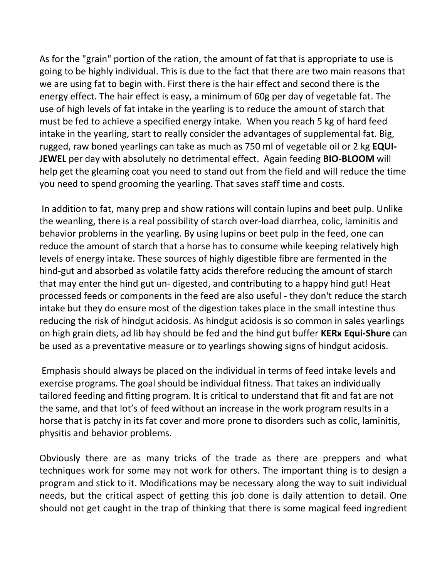As for the "grain" portion of the ration, the amount of fat that is appropriate to use is going to be highly individual. This is due to the fact that there are two main reasons that we are using fat to begin with. First there is the hair effect and second there is the energy effect. The hair effect is easy, a minimum of 60g per day of vegetable fat. The use of high levels of fat intake in the yearling is to reduce the amount of starch that must be fed to achieve a specified energy intake. When you reach 5 kg of hard feed intake in the yearling, start to really consider the advantages of supplemental fat. Big, rugged, raw boned yearlings can take as much as 750 ml of vegetable oil or 2 kg **EQUI-JEWEL** per day with absolutely no detrimental effect. Again feeding **BIO-BLOOM** will help get the gleaming coat you need to stand out from the field and will reduce the time you need to spend grooming the yearling. That saves staff time and costs.

In addition to fat, many prep and show rations will contain lupins and beet pulp. Unlike the weanling, there is a real possibility of starch over-load diarrhea, colic, laminitis and behavior problems in the yearling. By using lupins or beet pulp in the feed, one can reduce the amount of starch that a horse has to consume while keeping relatively high levels of energy intake. These sources of highly digestible fibre are fermented in the hind-gut and absorbed as volatile fatty acids therefore reducing the amount of starch that may enter the hind gut un- digested, and contributing to a happy hind gut! Heat processed feeds or components in the feed are also useful - they don't reduce the starch intake but they do ensure most of the digestion takes place in the small intestine thus reducing the risk of hindgut acidosis. As hindgut acidosis is so common in sales yearlings on high grain diets, ad lib hay should be fed and the hind gut buffer **KERx Equi-Shure** can be used as a preventative measure or to yearlings showing signs of hindgut acidosis.

Emphasis should always be placed on the individual in terms of feed intake levels and exercise programs. The goal should be individual fitness. That takes an individually tailored feeding and fitting program. It is critical to understand that fit and fat are not the same, and that lot's of feed without an increase in the work program results in a horse that is patchy in its fat cover and more prone to disorders such as colic, laminitis, physitis and behavior problems.

Obviously there are as many tricks of the trade as there are preppers and what techniques work for some may not work for others. The important thing is to design a program and stick to it. Modifications may be necessary along the way to suit individual needs, but the critical aspect of getting this job done is daily attention to detail. One should not get caught in the trap of thinking that there is some magical feed ingredient